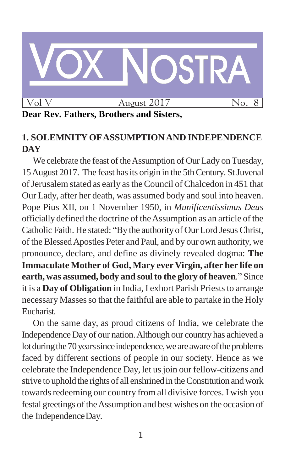

# **Dear Rev. Fathers, Brothers and Sisters,**

# **1. SOLEMNITYOFASSUMPTIONAND INDEPENDENCE DAY**

We celebrate the feast of the Assumption of Our Lady on Tuesday, 15 August 2017. The feast has its origin in the 5th Century. St Juvenal of Jerusalem stated as early as the Council of Chalcedon in 451 that Our Lady, after her death, was assumed body and soul into heaven. Pope Pius XII, on 1 November 1950, in *Munificentissimus Deus*  officially defined the doctrine of theAssumption as an article of the Catholic Faith. He stated: "By the authorityof Our Lord JesusChrist, of the BlessedApostles Peter and Paul, and by our own authority, we pronounce, declare, and define as divinely revealed dogma: **The Immaculate Mother of God, Mary ever Virgin, after her life on earth, was assumed, body and soulto the glory of heaven**." Since it is a **Day of Obligation** in India, I exhort Parish Priests to arrange necessary Masses so that the faithful are able to partake in the Holy Eucharist.

On the same day, as proud citizens of India, we celebrate the Independence Day of our nation.Although our country has achieved a lot during the 70 years since independence, we are aware of the problems faced by different sections of people in our society. Hence as we celebrate the Independence Day, let usjoin our fellow-citizens and strive to uphold the rights of all enshrined in theConstitution andwork towards redeeming our country from all divisive forces. I wish you festal greetings of theAssumption and best wishes on the occasion of the IndependenceDay.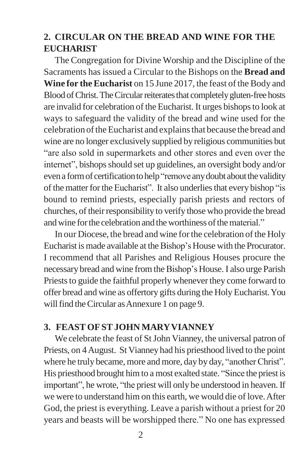# **2. CIRCULAR ON THE BREAD AND WINE FOR THE EUCHARIST**

The Congregation for Divine Worship and the Discipline of the Sacraments has issued a Circular to the Bishops on the **Bread and Wine for the Eucharist** on 15 June 2017, the feast of the Body and Blood of Christ. The Circular reiterates that completely gluten-free hosts are invalid for celebration of the Eucharist. It urges bishops to look at ways to safeguard the validity of the bread and wine used for the celebration oftheEucharist and explainsthat because the bread and wine are no longer exclusively supplied by religious communities but "are also sold in supermarkets and other stores and even over the internet", bishops should set up guidelines, an oversight body and/or even a form of certification to help "remove any doubt about the validity" of the matter for the Eucharist". It also underlies that every bishop "is bound to remind priests, especially parish priests and rectors of churches, of their responsibility to verify those who provide the bread and wine for the celebration and the worthiness of the material."

In our Diocese, the bread and wine for the celebration of the Holy Eucharist is made available at the Bishop's House with the Procurator. I recommend that all Parishes and Religious Houses procure the necessary bread and wine fromtheBishop"sHouse. I also urge Parish Priests to guide the faithful properly whenever they come forward to offer bread and wine as offertory gifts during the Holy Eucharist. You will find the Circular as Annexure 1 on page 9.

#### **3. FEAST OFSTJOHN MARYVIANNEY**

We celebrate the feast of St John Vianney, the universal patron of Priests, on 4August. St Vianney had his priesthood lived to the point where he truly became, more and more, day by day, "another Christ". His priesthood brought himto a most exalted state. "Since the priest is important", he wrote, "the priest will only be understood in heaven. If we were to understand him on this earth, we would die of love.After God, the priest is everything. Leave a parish without a priest for 20 years and beasts will be worshipped there." No one has expressed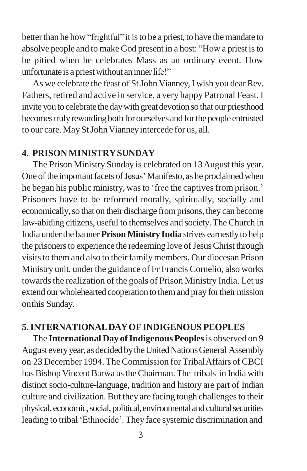better than he how "frightful" it is to be a priest, to have the mandate to absolve people and to make God present in a host: "How a priest isto be pitied when he celebrates Mass as an ordinary event. How unfortunate is a priest without an inner life!"

As we celebrate the feast of St John Vianney, I wish you dear Rev. Fathers, retired and active in service, a very happy Patronal Feast. I invite you to celebrate the day with great devotion so that our priesthood becomes truly rewarding both for ourselves and for the people entrusted to our care. May St John Vianney intercede for us, all.

#### **4. PRISONMINISTRYSUNDAY**

The Prison Ministry Sunday is celebrated on 13August this year. One of the important facets of Jesus' Manifesto, as he proclaimed when he began his public ministry, was to 'free the captives from prison.' Prisoners have to be reformed morally, spiritually, socially and economically, so that on their discharge from prisons, they can become law-abiding citizens, useful to themselves and society.The Church in India underthe banner **PrisonMinistry India** strives earnestlyto help the prisoners to experience the redeeming love of Jesus Christ through visits to them and also to their family members. Our diocesan Prison Ministry unit, under the guidance of Fr Francis Cornelio, also works towards the realization of the goals of Prison Ministry India. Let us extend our wholehearted cooperation to them and pray for their mission onthis Sunday.

### **5.INTERNATIONALDAYOFINDIGENOUS PEOPLES**

The **International Day ofIndigenous Peoples**is observed on 9 August every year, as decided by the United Nations General Assembly on 23 December 1994. The Commission for Tribal Affairs of CBCI has Bishop Vincent Barwa as the Chairman. The tribals in India with distinct socio-culture-language, tradition and history are part of Indian culture and civilization.But they are facing tough challengesto their physical, economic, social, political, environmental and cultural securities leading to tribal 'Ethnocide'. They face systemic discrimination and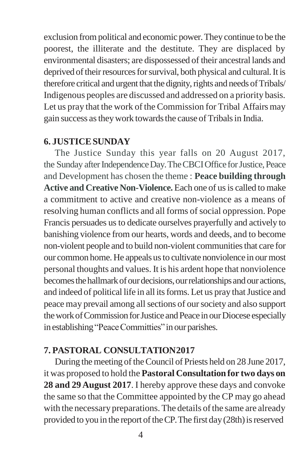exclusion frompolitical and economic power.They continue to be the poorest, the illiterate and the destitute. They are displaced by environmental disasters; are dispossessed of their ancestral lands and deprived of their resources for survival, both physical and cultural. It is therefore critical and urgent that the dignity, rights and needs of Tribals/ Indigenous peoples are discussed and addressed on a priority basis. Let us pray that the work of the Commission for Tribal Affairs may gain success as they work towards the cause of Tribals in India.

### **6. JUSTICESUNDAY**

The Justice Sunday this year falls on 20 August 2017, the Sunday after Independence Day. The CBCI Office for Justice, Peace and Development has chosen the theme : **Peace building through Active and Creative Non-Violence.**Each one of usis called to make a commitment to active and creative non-violence as a means of resolving human conflicts and all forms of social oppression. Pope Francis persuades us to dedicate ourselves prayerfully and actively to banishing violence from our hearts, words and deeds, and to become non-violent people and to build non-violent communities that care for our common home.He appeals usto cultivate nonviolence in ourmost personal thoughts and values. It is his ardent hope that nonviolence becomes the hallmark of our decisions, our relationships and our actions, and indeed of political life in all its forms. Let us pray that Justice and peace may prevail among allsections of oursociety and also support the work of Commission for Justice and Peace in our Diocese especially in establishing "Peace Committies" in our parishes.

# **7. PASTORAL CONSULTATION2017**

During the meeting of the Council of Priests held on 28 June 2017, it was proposed to hold the **Pastoral Consultation for two days on 28 and 29 August 2017**. I hereby approve these days and convoke the same so that the Committee appointed by the CP may go ahead with the necessary preparations. The details of the same are already provided to you in the report of the CP. The first day  $(28th)$  is reserved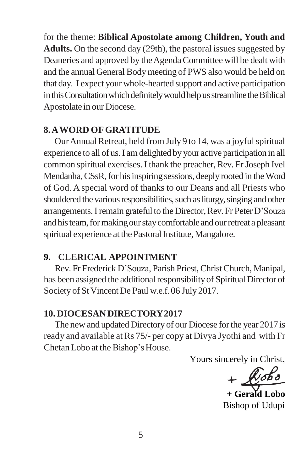for the theme: **Biblical Apostolate among Children, Youth and**  Adults. On the second day (29th), the pastoral issues suggested by Deaneries and approved by the Agenda Committee will be dealt with and the annual General Bodymeeting of PWS also would be held on that day. I expect your whole-hearted support and active participation in this Consultation which definitely would help us streamline the Biblical Apostolate in our Diocese.

# **8.AWORD OFGRATITUDE**

Our Annual Retreat, held from July 9 to 14, was a joyful spiritual experience to all of us.I amdelighted by your active participation in all common spiritual exercises. I thank the preacher, Rev. Fr Joseph Ivel Mendanha, CSsR, for his inspiring sessions, deeply rooted in the Word of God. A special word of thanks to our Deans and all Priests who shouldered the various responsibilities, such as liturgy, singing and other arrangements. I remain grateful to the Director, Rev. Fr Peter D'Souza and his team, for making our stay comfortable and our retreat a pleasant spiritual experience at the Pastoral Institute, Mangalore.

## **9. CLERICAL APPOINTMENT**

Rev. Fr Frederick D"Souza, Parish Priest,ChristChurch, Manipal, has been assigned the additional responsibility of Spiritual Director of Society of StVincent De Paul w.e.f. 06 July 2017.

# **10. DIOCESANDIRECTORY2017**

The new and updated Directory of our Diocese for the year 2017 is ready and available at Rs 75/- per copy at Divya Jyothi and with Fr ChetanLobo at the Bishop"sHouse.

Yours sincerely in Christ,

 $+$  $k$ obo

**+ Gerald Lobo** Bishop of Udupi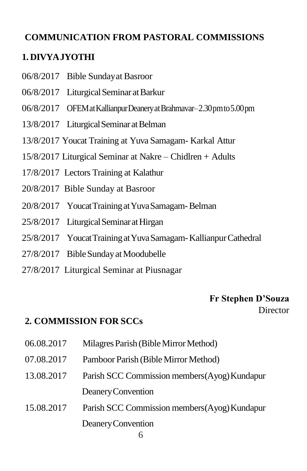# **COMMUNICATION FROM PASTORAL COMMISSIONS**

# **1. DIVYAJYOTHI**

- 06/8/2017 Bible Sundayat Basroor
- 06/8/2017 Liturgical Seminar at Barkur
- 06/8/2017 OFEMatKallianpurDeaneryatBrahmavar–2.30pmto5.00pm
- 13/8/2017 Liturgical Seminar at Belman
- 13/8/2017 Youcat Training at Yuva Samagam- Karkal Attur
- 15/8/2017 Liturgical Seminar at Nakre Chidlren + Adults
- 17/8/2017 Lectors Training at Kalathur
- 20/8/2017 Bible Sunday at Basroor
- 20/8/2017 YoucatTrainingatYuvaSamagam-Belman
- 25/8/2017 Liturgical Seminar at Hirgan
- 25/8/2017 YoucatTrainingatYuvaSamagam-KallianpurCathedral
- 27/8/2017 BibleSundayatMoodubelle
- 27/8/2017 Liturgical Seminar at Piusnagar

#### **Fr Stephen D'Souza Director**

## **2. COMMISSION FOR SCCs**

- 06.08.2017 Milagres Parish (Bible Mirror Method)
- 07.08.2017 Pamboor Parish (BibleMirror Method)
- 13.08.2017 Parish SCC Commission members(Ayog)Kundapur DeaneryConvention
- 15.08.2017 Parish SCC Commission members(Ayog)Kundapur DeaneryConvention